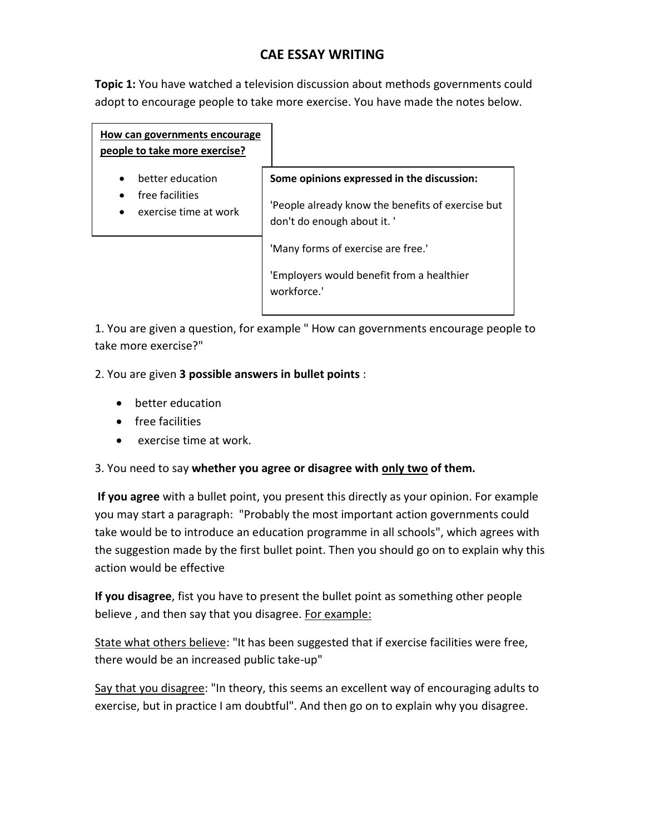# **CAE ESSAY WRITING**

**Topic 1:** You have watched a television discussion about methods governments could adopt to encourage people to take more exercise. You have made the notes below.

| How can governments encourage<br>people to take more exercise? |                                                                                |
|----------------------------------------------------------------|--------------------------------------------------------------------------------|
| better education<br>$\bullet$                                  | Some opinions expressed in the discussion:                                     |
| free facilities<br>exercise time at work                       | 'People already know the benefits of exercise but<br>don't do enough about it. |
|                                                                | 'Many forms of exercise are free.'                                             |
|                                                                | 'Employers would benefit from a healthier<br>workforce.'                       |

1. You are given a question, for example " How can governments encourage people to take more exercise?"

2. You are given **3 possible answers in bullet points** :

- better education
- **•** free facilities
- exercise time at work.

3. You need to say **whether you agree or disagree with only two of them.**

**If you agree** with a bullet point, you present this directly as your opinion. For example you may start a paragraph: "Probably the most important action governments could take would be to introduce an education programme in all schools", which agrees with the suggestion made by the first bullet point. Then you should go on to explain why this action would be effective

**If you disagree**, fist you have to present the bullet point as something other people believe, and then say that you disagree. For example:

State what others believe: "It has been suggested that if exercise facilities were free, there would be an increased public take-up"

Say that you disagree: "In theory, this seems an excellent way of encouraging adults to exercise, but in practice I am doubtful". And then go on to explain why you disagree.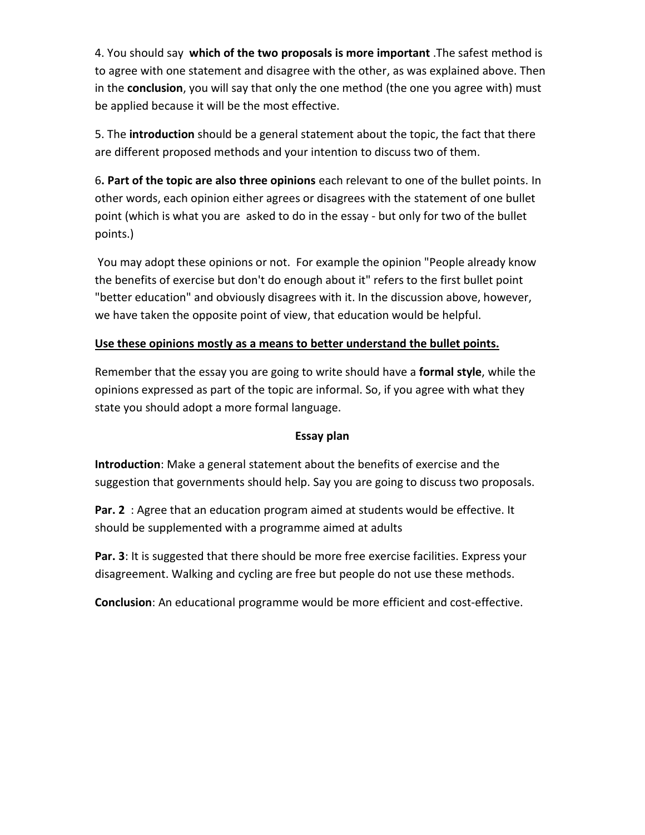4. You should say **which of the two proposals is more important** .The safest method is to agree with one statement and disagree with the other, as was explained above. Then in the **conclusion**, you will say that only the one method (the one you agree with) must be applied because it will be the most effective.

5. The **introduction** should be a general statement about the topic, the fact that there are different proposed methods and your intention to discuss two of them.

6**. Part of the topic are also three opinions** each relevant to one of the bullet points. In other words, each opinion either agrees or disagrees with the statement of one bullet point (which is what you are asked to do in the essay - but only for two of the bullet points.)

You may adopt these opinions or not. For example the opinion "People already know the benefits of exercise but don't do enough about it" refers to the first bullet point "better education" and obviously disagrees with it. In the discussion above, however, we have taken the opposite point of view, that education would be helpful.

## **Use these opinions mostly as a means to better understand the bullet points.**

Remember that the essay you are going to write should have a **formal style**, while the opinions expressed as part of the topic are informal. So, if you agree with what they state you should adopt a more formal language.

### **Essay plan**

**Introduction**: Make a general statement about the benefits of exercise and the suggestion that governments should help. Say you are going to discuss two proposals.

**Par. 2** : Agree that an education program aimed at students would be effective. It should be supplemented with a programme aimed at adults

**Par. 3**: It is suggested that there should be more free exercise facilities. Express your disagreement. Walking and cycling are free but people do not use these methods.

**Conclusion**: An educational programme would be more efficient and cost-effective.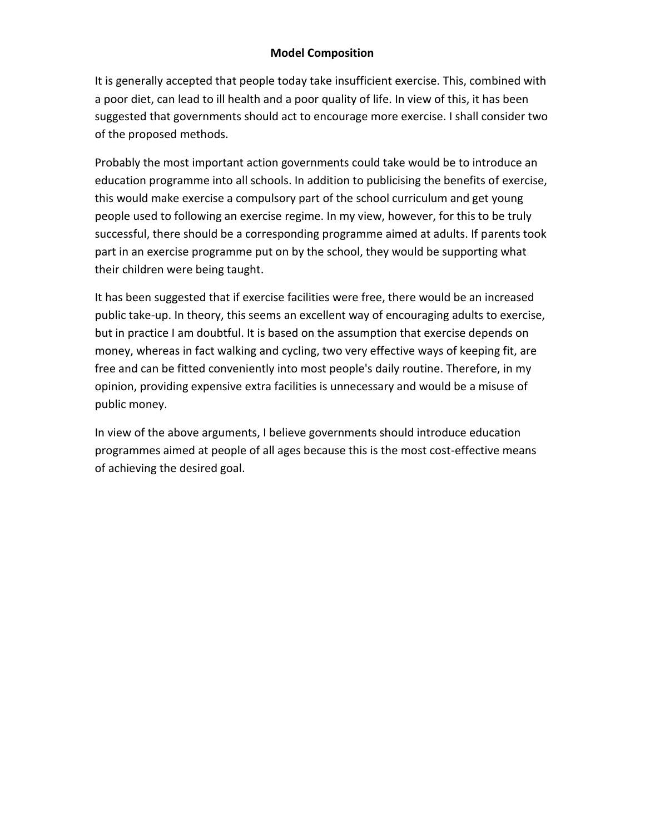#### **Model Composition**

It is generally accepted that people today take insufficient exercise. This, combined with a poor diet, can lead to ill health and a poor quality of life. In view of this, it has been suggested that governments should act to encourage more exercise. I shall consider two of the proposed methods.

Probably the most important action governments could take would be to introduce an education programme into all schools. In addition to publicising the benefits of exercise, this would make exercise a compulsory part of the school curriculum and get young people used to following an exercise regime. In my view, however, for this to be truly successful, there should be a corresponding programme aimed at adults. If parents took part in an exercise programme put on by the school, they would be supporting what their children were being taught.

It has been suggested that if exercise facilities were free, there would be an increased public take-up. In theory, this seems an excellent way of encouraging adults to exercise, but in practice I am doubtful. It is based on the assumption that exercise depends on money, whereas in fact walking and cycling, two very effective ways of keeping fit, are free and can be fitted conveniently into most people's daily routine. Therefore, in my opinion, providing expensive extra facilities is unnecessary and would be a misuse of public money.

In view of the above arguments, I believe governments should introduce education programmes aimed at people of all ages because this is the most cost-effective means of achieving the desired goal.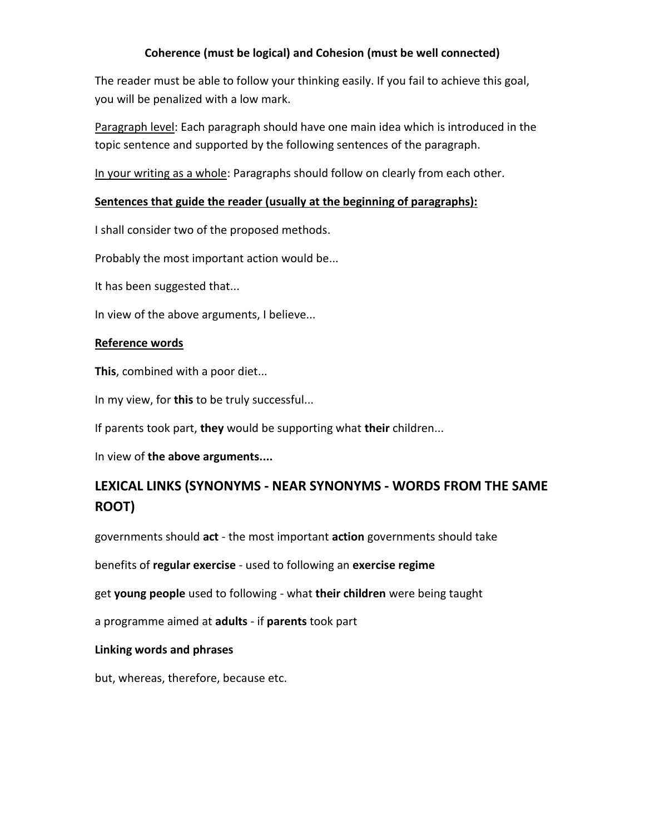#### **Coherence (must be logical) and Cohesion (must be well connected)**

The reader must be able to follow your thinking easily. If you fail to achieve this goal, you will be penalized with a low mark.

Paragraph level: Each paragraph should have one main idea which is introduced in the topic sentence and supported by the following sentences of the paragraph.

In your writing as a whole: Paragraphs should follow on clearly from each other.

#### **Sentences that guide the reader (usually at the beginning of paragraphs):**

I shall consider two of the proposed methods.

Probably the most important action would be...

It has been suggested that...

In view of the above arguments, I believe...

#### **Reference words**

**This**, combined with a poor diet...

In my view, for **this** to be truly successful...

If parents took part, **they** would be supporting what **their** children...

In view of **the above arguments....**

# **LEXICAL LINKS (SYNONYMS - NEAR SYNONYMS - WORDS FROM THE SAME ROOT)**

governments should **act** - the most important **action** governments should take

benefits of **regular exercise** - used to following an **exercise regime**

get **young people** used to following - what **their children** were being taught

a programme aimed at **adults** - if **parents** took part

#### **Linking words and phrases**

but, whereas, therefore, because etc.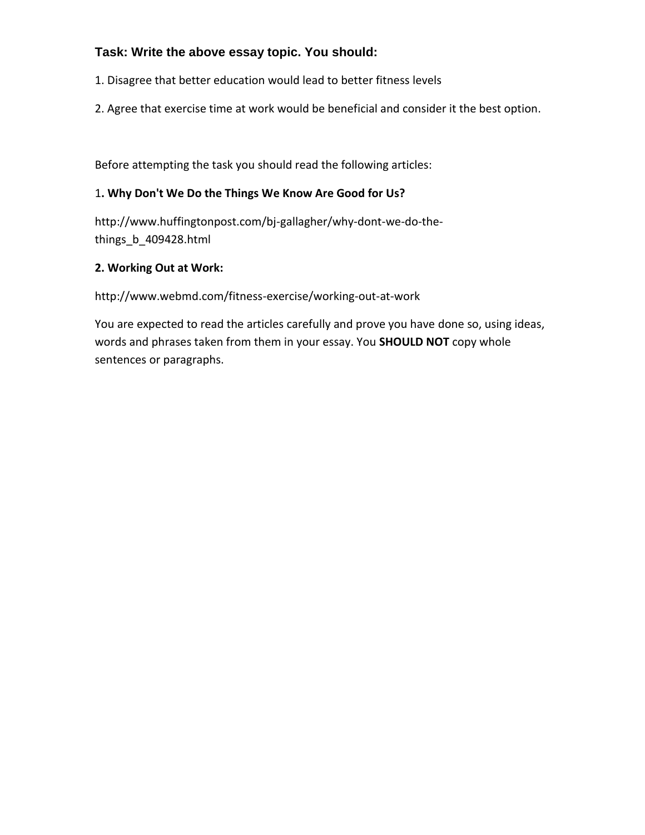# **Task: Write the above essay topic. You should:**

- 1. Disagree that better education would lead to better fitness levels
- 2. Agree that exercise time at work would be beneficial and consider it the best option.

Before attempting the task you should read the following articles:

## 1**. Why Don't We Do the Things We Know Are Good for Us?**

http://www.huffingtonpost.com/bj-gallagher/why-dont-we-do-thethings\_b\_409428.html

### **2. Working Out at Work:**

http://www.webmd.com/fitness-exercise/working-out-at-work

You are expected to read the articles carefully and prove you have done so, using ideas, words and phrases taken from them in your essay. You **SHOULD NOT** copy whole sentences or paragraphs.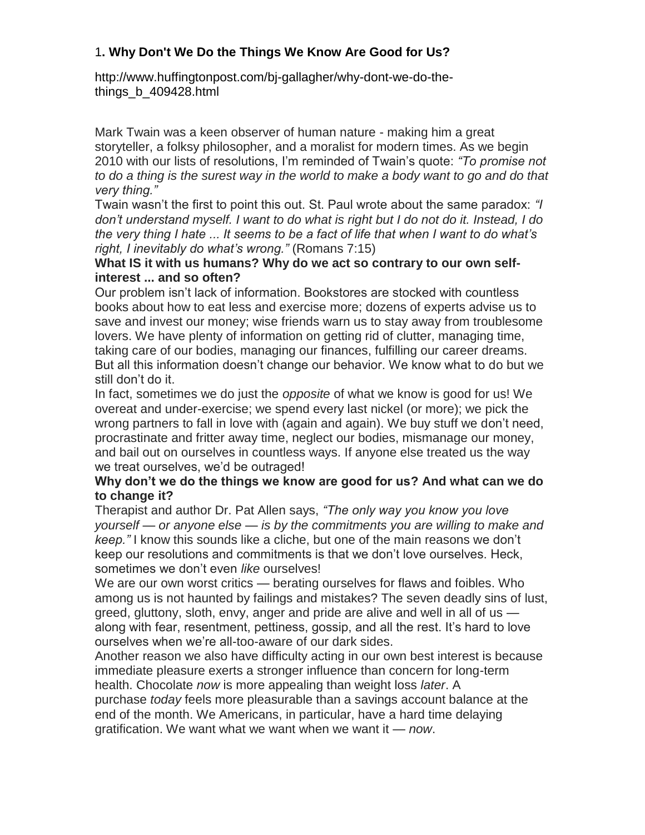## 1**. Why Don't We Do the Things We Know Are Good for Us?**

http://www.huffingtonpost.com/bj-gallagher/why-dont-we-do-thethings\_b\_409428.html

Mark Twain was a keen observer of human nature - making him a great storyteller, a folksy philosopher, and a moralist for modern times. As we begin 2010 with our lists of resolutions, I'm reminded of Twain's quote: *"To promise not to do a thing is the surest way in the world to make a body want to go and do that very thing."*

Twain wasn't the first to point this out. St. Paul wrote about the same paradox: *"I don't understand myself. I want to do what is right but I do not do it. Instead, I do the very thing I hate ... It seems to be a fact of life that when I want to do what's right, I inevitably do what's wrong."* (Romans 7:15)

### **What IS it with us humans? Why do we act so contrary to our own selfinterest ... and so often?**

Our problem isn't lack of information. Bookstores are stocked with countless books about how to eat less and exercise more; dozens of experts advise us to save and invest our money; wise friends warn us to stay away from troublesome lovers. We have plenty of information on getting rid of clutter, managing time, taking care of our bodies, managing our finances, fulfilling our career dreams. But all this information doesn't change our behavior. We know what to do but we still don't do it.

In fact, sometimes we do just the *opposite* of what we know is good for us! We overeat and under-exercise; we spend every last nickel (or more); we pick the wrong partners to fall in love with (again and again). We buy stuff we don't need, procrastinate and fritter away time, neglect our bodies, mismanage our money, and bail out on ourselves in countless ways. If anyone else treated us the way we treat ourselves, we'd be outraged!

### **Why don't we do the things we know are good for us? And what can we do to change it?**

Therapist and author Dr. Pat Allen says, *"The only way you know you love yourself — or anyone else — is by the commitments you are willing to make and keep."* I know this sounds like a cliche, but one of the main reasons we don't keep our resolutions and commitments is that we don't love ourselves. Heck, sometimes we don't even *like* ourselves!

We are our own worst critics — berating ourselves for flaws and foibles. Who among us is not haunted by failings and mistakes? The seven deadly sins of lust, greed, gluttony, sloth, envy, anger and pride are alive and well in all of us along with fear, resentment, pettiness, gossip, and all the rest. It's hard to love ourselves when we're all-too-aware of our dark sides.

Another reason we also have difficulty acting in our own best interest is because immediate pleasure exerts a stronger influence than concern for long-term health. Chocolate *now* is more appealing than weight loss *later*. A

purchase *today* feels more pleasurable than a savings account balance at the end of the month. We Americans, in particular, have a hard time delaying gratification. We want what we want when we want it — *now*.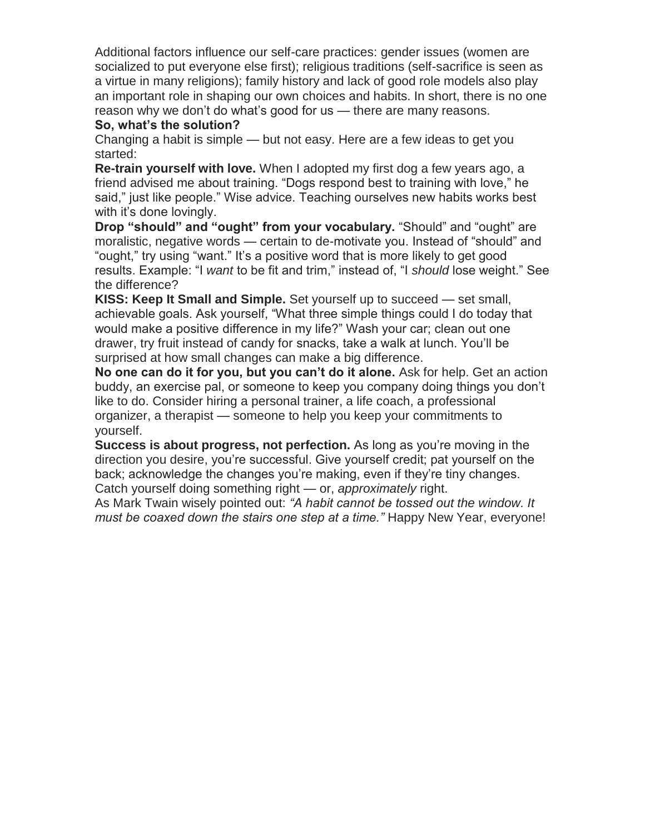Additional factors influence our self-care practices: gender issues (women are socialized to put everyone else first); religious traditions (self-sacrifice is seen as a virtue in many religions); family history and lack of good role models also play an important role in shaping our own choices and habits. In short, there is no one reason why we don't do what's good for us — there are many reasons.

### **So, what's the solution?**

Changing a habit is simple — but not easy. Here are a few ideas to get you started:

**Re-train yourself with love.** When I adopted my first dog a few years ago, a friend advised me about training. "Dogs respond best to training with love," he said," just like people." Wise advice. Teaching ourselves new habits works best with it's done lovingly.

**Drop "should" and "ought" from your vocabulary.** "Should" and "ought" are moralistic, negative words — certain to de-motivate you. Instead of "should" and "ought," try using "want." It's a positive word that is more likely to get good results. Example: "I *want* to be fit and trim," instead of, "I *should* lose weight." See the difference?

**KISS: Keep It Small and Simple.** Set yourself up to succeed — set small, achievable goals. Ask yourself, "What three simple things could I do today that would make a positive difference in my life?" Wash your car; clean out one drawer, try fruit instead of candy for snacks, take a walk at lunch. You'll be surprised at how small changes can make a big difference.

**No one can do it for you, but you can't do it alone.** Ask for help. Get an action buddy, an exercise pal, or someone to keep you company doing things you don't like to do. Consider hiring a personal trainer, a life coach, a professional organizer, a therapist — someone to help you keep your commitments to yourself.

**Success is about progress, not perfection.** As long as you're moving in the direction you desire, you're successful. Give yourself credit; pat yourself on the back; acknowledge the changes you're making, even if they're tiny changes. Catch yourself doing something right — or, *approximately* right.

As Mark Twain wisely pointed out: *"A habit cannot be tossed out the window. It must be coaxed down the stairs one step at a time."* Happy New Year, everyone!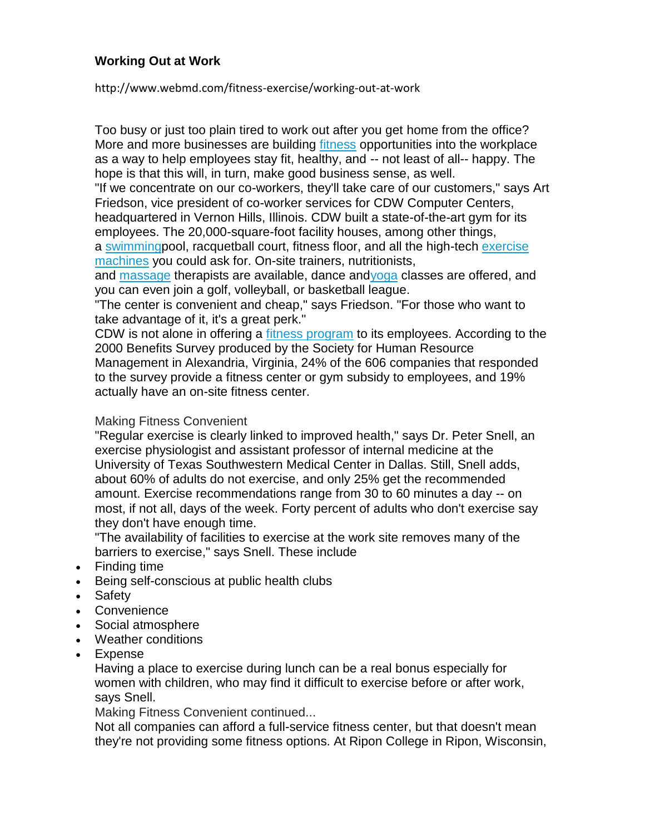## **Working Out at Work**

#### http://www.webmd.com/fitness-exercise/working-out-at-work

Too busy or just too plain tired to work out after you get home from the office? More and more businesses are building *[fitness](http://www.webmd.com/fitness-exercise/ss/slideshow-7-most-effective-exercises)* opportunities into the workplace as a way to help employees stay fit, healthy, and -- not least of all-- happy. The hope is that this will, in turn, make good business sense, as well.

"If we concentrate on our co-workers, they'll take care of our customers," says Art Friedson, vice president of co-worker services for CDW Computer Centers, headquartered in Vernon Hills, Illinois. CDW built a state-of-the-art gym for its employees. The 20,000-square-foot facility houses, among other things,

a [swimmingp](http://www.webmd.com/fitness-exercise/guide/get-into-swimming)ool, racquetball court, fitness floor, and all the high-tech [exercise](http://www.webmd.com/fitness-exercise/all-bout-exercise-machines)  [machines](http://www.webmd.com/fitness-exercise/all-bout-exercise-machines) you could ask for. On-site trainers, nutritionists,

and [massage](http://www.webmd.com/balance/massage-therapy-styles-and-health-benefits) therapists are available, dance an[dyoga](http://www.webmd.com/balance/guide/the-health-benefits-of-yoga) classes are offered, and you can even join a golf, volleyball, or basketball league.

"The center is convenient and cheap," says Friedson. "For those who want to take advantage of it, it's a great perk."

CDW is not alone in offering a [fitness program](http://www.webmd.com/fitness-exercise/default.htm) to its employees. According to the 2000 Benefits Survey produced by the Society for Human Resource Management in Alexandria, Virginia, 24% of the 606 companies that responded to the survey provide a fitness center or gym subsidy to employees, and 19% actually have an on-site fitness center.

#### Making Fitness Convenient

"Regular exercise is clearly linked to improved health," says Dr. Peter Snell, an exercise physiologist and assistant professor of internal medicine at the University of Texas Southwestern Medical Center in Dallas. Still, Snell adds, about 60% of adults do not exercise, and only 25% get the recommended amount. Exercise recommendations range from 30 to 60 minutes a day -- on most, if not all, days of the week. Forty percent of adults who don't exercise say they don't have enough time.

"The availability of facilities to exercise at the work site removes many of the barriers to exercise," says Snell. These include

- Finding time
- Being self-conscious at public health clubs
- Safety
- Convenience
- Social atmosphere
- Weather conditions
- Expense

Having a place to exercise during lunch can be a real bonus especially for women with children, who may find it difficult to exercise before or after work, says Snell.

Making Fitness Convenient continued...

Not all companies can afford a full-service fitness center, but that doesn't mean they're not providing some fitness options. At Ripon College in Ripon, Wisconsin,